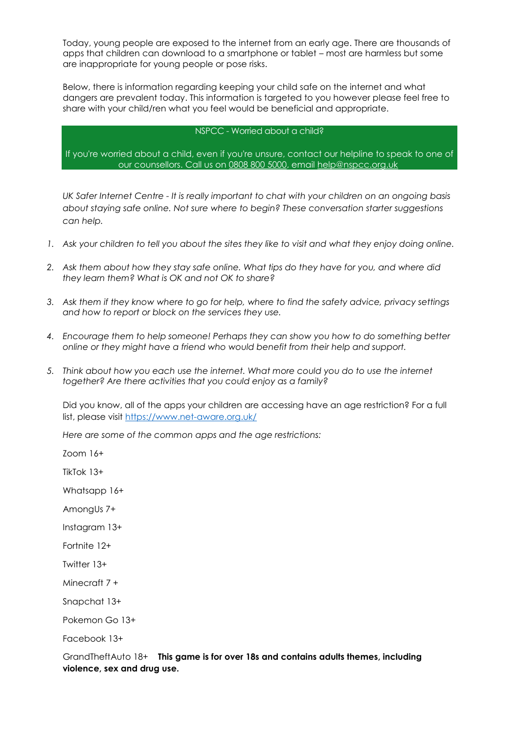Today, young people are exposed to the internet from an early age. There are thousands of apps that children can download to a smartphone or tablet – most are harmless but some are inappropriate for young people or pose risks.

Below, there is information regarding keeping your child safe on the internet and what dangers are prevalent today. This information is targeted to you however please feel free to share with your child/ren what you feel would be beneficial and appropriate.

## NSPCC - Worried about a child?

If you're worried about a child, even if you're unsure, contact our helpline to speak to one of our counsellors. Call us on [0808 800 5000,](tel:08088005000) email [help@nspcc.org.uk](mailto:help@nspcc.org.uk)

*UK Safer Internet Centre - It is really important to chat with your children on an ongoing basis about staying safe online. Not sure where to begin? These conversation starter suggestions can help.*

- *1. Ask your children to tell you about the sites they like to visit and what they enjoy doing online.*
- *2. Ask them about how they stay safe online. What tips do they have for you, and where did they learn them? What is OK and not OK to share?*
- *3. Ask them if they know where to go for help, where to find the safety advice, privacy settings and how to report or block on the services they use.*
- *4. Encourage them to help someone! Perhaps they can show you how to do something better online or they might have a friend who would benefit from their help and support.*
- *5. Think about how you each use the internet. What more could you do to use the internet together? Are there activities that you could enjoy as a family?*

Did you know, all of the apps your children are accessing have an age restriction? For a full list, please visit<https://www.net-aware.org.uk/>

*Here are some of the common apps and the age restrictions:*

Zoom 16+

TikTok 13+

Whatsapp 16+

AmongUs 7+

Instagram 13+

Fortnite 12+

Twitter 13+

Minecraft 7 +

Snapchat 13+

Pokemon Go 13+

Facebook 13+

GrandTheftAuto 18+ **This game is for over 18s and contains adults themes, including violence, sex and drug use.**